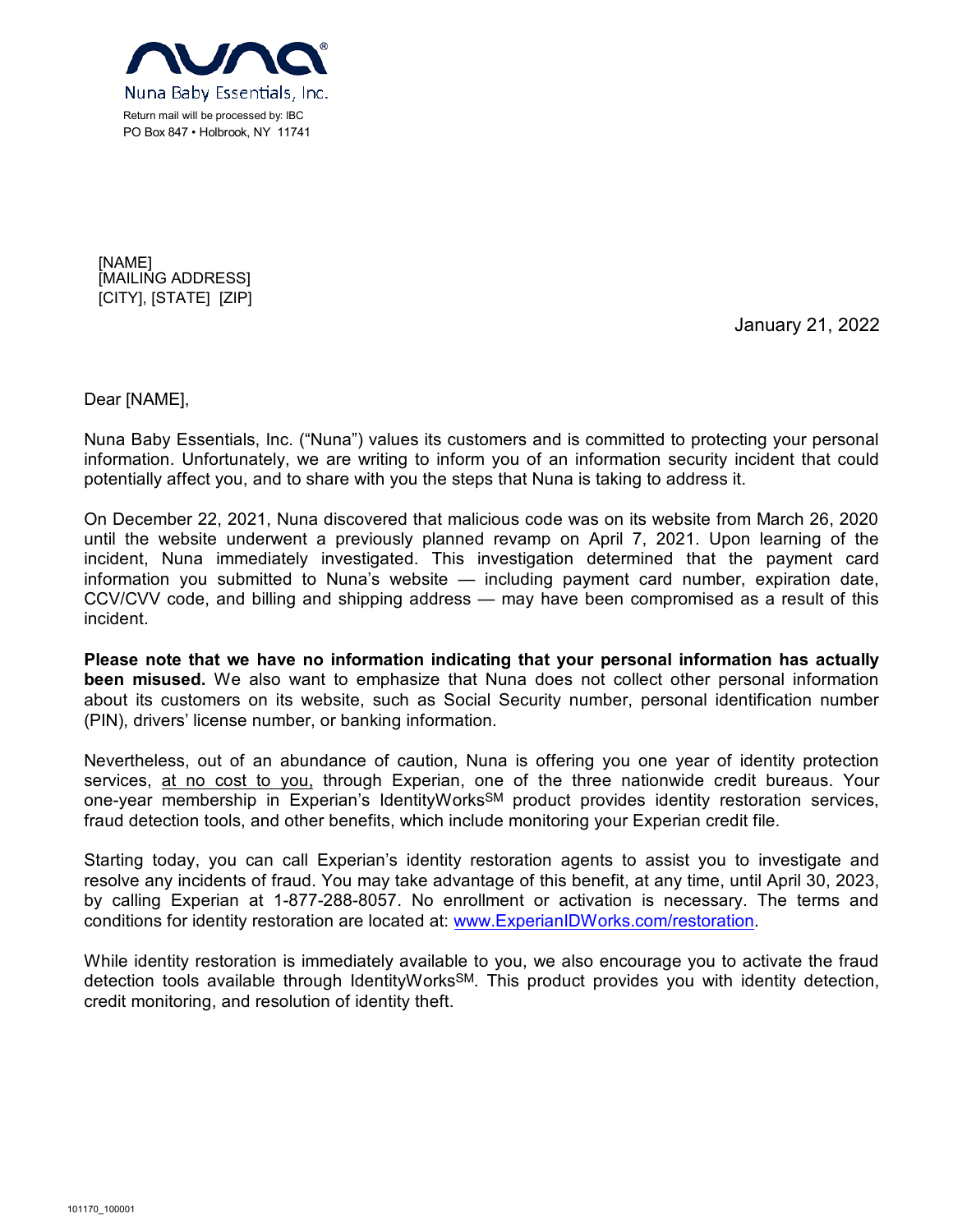

[NAME] [MAILING ADDRESS] [CITY], [STATE] [ZIP]

January 21, 2022

Dear [NAME],

Nuna Baby Essentials, Inc. ("Nuna") values its customers and is committed to protecting your personal information. Unfortunately, we are writing to inform you of an information security incident that could potentially affect you, and to share with you the steps that Nuna is taking to address it.

On December 22, 2021, Nuna discovered that malicious code was on its website from March 26, 2020 until the website underwent a previously planned revamp on April 7, 2021. Upon learning of the incident, Nuna immediately investigated. This investigation determined that the payment card information you submitted to Nuna's website — including payment card number, expiration date, CCV/CVV code, and billing and shipping address — may have been compromised as a result of this incident.

**Please note that we have no information indicating that your personal information has actually been misused.** We also want to emphasize that Nuna does not collect other personal information about its customers on its website, such as Social Security number, personal identification number (PIN), drivers' license number, or banking information.

Nevertheless, out of an abundance of caution, Nuna is offering you one year of identity protection services, at no cost to you, through Experian, one of the three nationwide credit bureaus. Your one-year membership in Experian's IdentityWorksSM product provides identity restoration services, fraud detection tools, and other benefits, which include monitoring your Experian credit file.

Starting today, you can call Experian's identity restoration agents to assist you to investigate and resolve any incidents of fraud. You may take advantage of this benefit, at any time, until April 30, 2023, by calling Experian at 1-877-288-8057. No enrollment or activation is necessary. The terms and conditions for identity restoration are located at: www.ExperianIDWorks.com/restoration.

While identity restoration is immediately available to you, we also encourage you to activate the fraud detection tools available through IdentityWorksSM. This product provides you with identity detection, credit monitoring, and resolution of identity theft.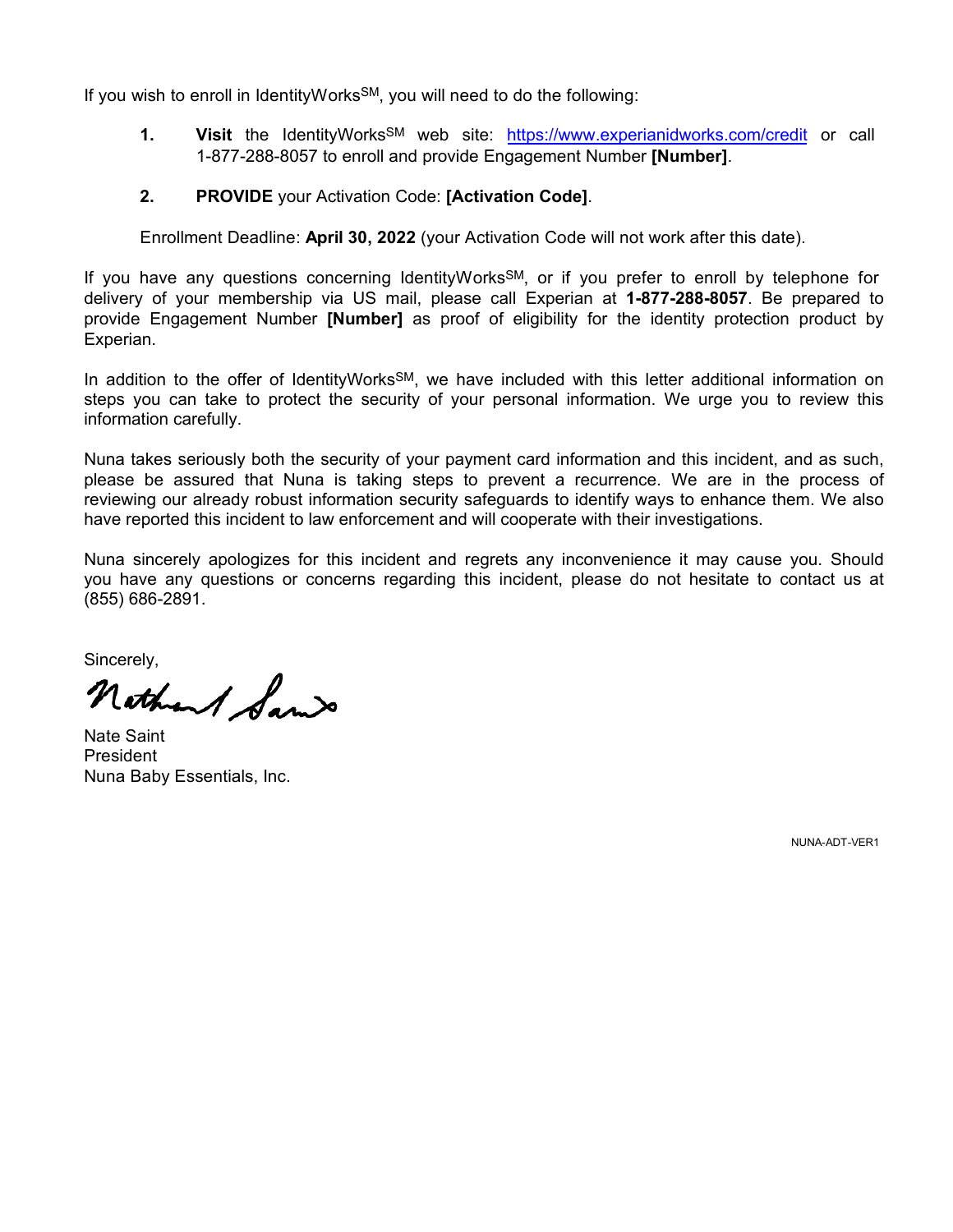If you wish to enroll in IdentityWorks<sup>SM</sup>, you will need to do the following:

- **1. Visit** the IdentityWorksSM web site: https://www.experianidworks.com/credit or call 1-877-288-8057 to enroll and provide Engagement Number **[Number]**.
- **2. PROVIDE** your Activation Code: **[Activation Code]**.

Enrollment Deadline: **April 30, 2022** (your Activation Code will not work after this date).

If you have any questions concerning IdentityWorks<sup>SM</sup>, or if you prefer to enroll by telephone for delivery of your membership via US mail, please call Experian at **1-877-288-8057**. Be prepared to provide Engagement Number **[Number]** as proof of eligibility for the identity protection product by Experian.

In addition to the offer of IdentityWorks<sup>SM</sup>, we have included with this letter additional information on steps you can take to protect the security of your personal information. We urge you to review this information carefully.

Nuna takes seriously both the security of your payment card information and this incident, and as such, please be assured that Nuna is taking steps to prevent a recurrence. We are in the process of reviewing our already robust information security safeguards to identify ways to enhance them. We also have reported this incident to law enforcement and will cooperate with their investigations.

Nuna sincerely apologizes for this incident and regrets any inconvenience it may cause you. Should you have any questions or concerns regarding this incident, please do not hesitate to contact us at (855) 686-2891.

Sincerely,<br>nothant Same

Nate Saint President Nuna Baby Essentials, Inc.

NUNA-ADT-VER1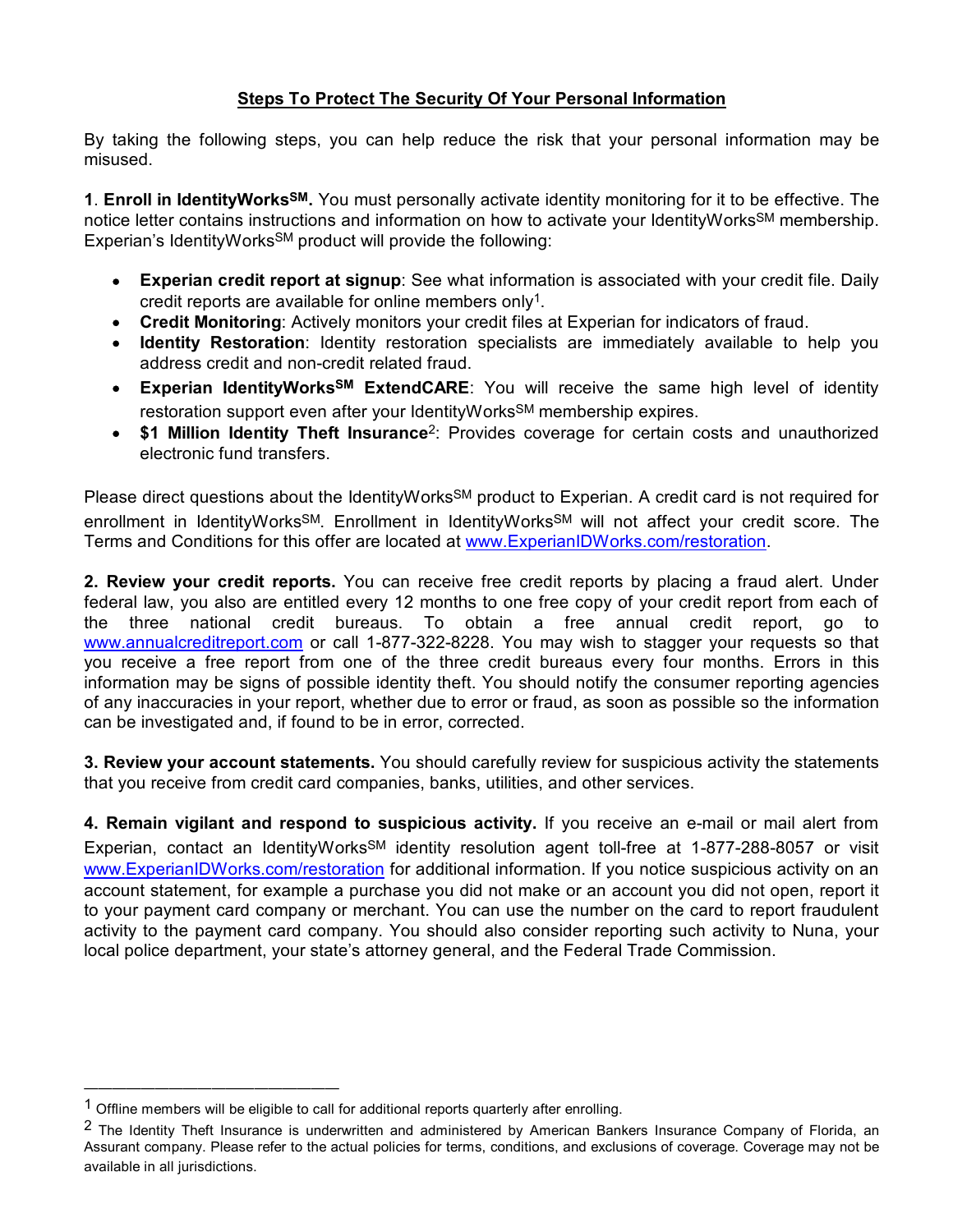## **Steps To Protect The Security Of Your Personal Information**

By taking the following steps, you can help reduce the risk that your personal information may be misused.

**1**. **Enroll in IdentityWorksSM.** You must personally activate identity monitoring for it to be effective. The notice letter contains instructions and information on how to activate your IdentityWorks<sup>SM</sup> membership. Experian's IdentityWorksSM product will provide the following:

- **Experian credit report at signup**: See what information is associated with your credit file. Daily credit reports are available for online members only<sup>1</sup>.
- **Credit Monitoring**: Actively monitors your credit files at Experian for indicators of fraud.
- **Identity Restoration**: Identity restoration specialists are immediately available to help you address credit and non-credit related fraud.
- **Experian IdentityWorksSM ExtendCARE**: You will receive the same high level of identity restoration support even after your IdentityWorksSM membership expires.
- **\$1 Million Identity Theft Insurance**2: Provides coverage for certain costs and unauthorized electronic fund transfers.

Please direct questions about the IdentityWorks<sup>SM</sup> product to Experian. A credit card is not required for enrollment in IdentityWorksSM. Enrollment in IdentityWorksSM will not affect your credit score. The Terms and Conditions for this offer are located at www.ExperianIDWorks.com/restoration.

**2. Review your credit reports.** You can receive free credit reports by placing a fraud alert. Under federal law, you also are entitled every 12 months to one free copy of your credit report from each of the three national credit bureaus. To obtain a free annual credit report, go to www.annualcreditreport.com or call 1-877-322-8228. You may wish to stagger your requests so that you receive a free report from one of the three credit bureaus every four months. Errors in this information may be signs of possible identity theft. You should notify the consumer reporting agencies of any inaccuracies in your report, whether due to error or fraud, as soon as possible so the information can be investigated and, if found to be in error, corrected.

**3. Review your account statements.** You should carefully review for suspicious activity the statements that you receive from credit card companies, banks, utilities, and other services.

**4. Remain vigilant and respond to suspicious activity.** If you receive an e-mail or mail alert from Experian, contact an IdentityWorks<sup>SM</sup> identity resolution agent toll-free at 1-877-288-8057 or visit www.ExperianIDWorks.com/restoration for additional information. If you notice suspicious activity on an account statement, for example a purchase you did not make or an account you did not open, report it to your payment card company or merchant. You can use the number on the card to report fraudulent activity to the payment card company. You should also consider reporting such activity to Nuna, your local police department, your state's attorney general, and the Federal Trade Commission.

——————————————————

 $1$  Offline members will be eligible to call for additional reports quarterly after enrolling.

<sup>&</sup>lt;sup>2</sup> The Identity Theft Insurance is underwritten and administered by American Bankers Insurance Company of Florida, an Assurant company. Please refer to the actual policies for terms, conditions, and exclusions of coverage. Coverage may not be available in all jurisdictions.